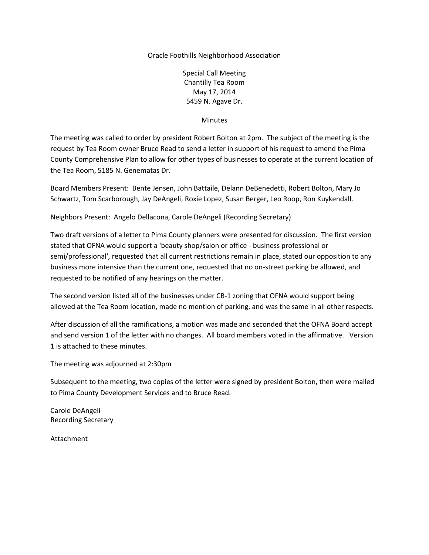## Oracle Foothills Neighborhood Association

Special Call Meeting Chantilly Tea Room May 17, 2014 5459 N. Agave Dr.

**Minutes** 

The meeting was called to order by president Robert Bolton at 2pm. The subject of the meeting is the request by Tea Room owner Bruce Read to send a letter in support of his request to amend the Pima County Comprehensive Plan to allow for other types of businesses to operate at the current location of the Tea Room, 5185 N. Genematas Dr.

Board Members Present: Bente Jensen, John Battaile, Delann DeBenedetti, Robert Bolton, Mary Jo Schwartz, Tom Scarborough, Jay DeAngeli, Roxie Lopez, Susan Berger, Leo Roop, Ron Kuykendall.

Neighbors Present: Angelo Dellacona, Carole DeAngeli (Recording Secretary)

Two draft versions of a letter to Pima County planners were presented for discussion. The first version stated that OFNA would support a 'beauty shop/salon or office - business professional or semi/professional', requested that all current restrictions remain in place, stated our opposition to any business more intensive than the current one, requested that no on-street parking be allowed, and requested to be notified of any hearings on the matter.

The second version listed all of the businesses under CB-1 zoning that OFNA would support being allowed at the Tea Room location, made no mention of parking, and was the same in all other respects.

After discussion of all the ramifications, a motion was made and seconded that the OFNA Board accept and send version 1 of the letter with no changes. All board members voted in the affirmative. Version 1 is attached to these minutes.

The meeting was adjourned at 2:30pm

Subsequent to the meeting, two copies of the letter were signed by president Bolton, then were mailed to Pima County Development Services and to Bruce Read.

Carole DeAngeli Recording Secretary

Attachment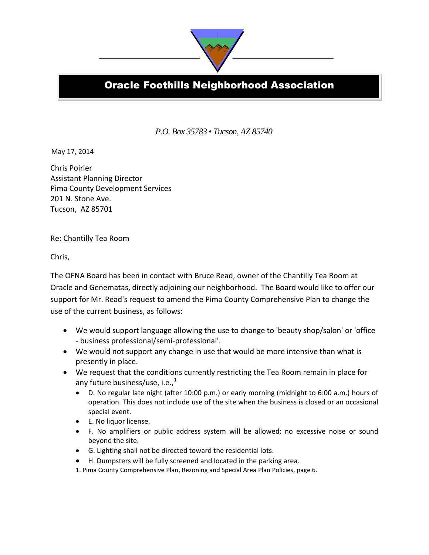

## **Oracle Foothills Neighborhood Association**

*P.O. Box 35783* • *Tucson, AZ 85740*

**od** 

May 17, 2014

Chris Poirier Assistant Planning Director Pima County Development Services 201 N. Stone Ave. Tucson, AZ 85701

Re: Chantilly Tea Room

Chris,

The OFNA Board has been in contact with Bruce Read, owner of the Chantilly Tea Room at Oracle and Genematas, directly adjoining our neighborhood. The Board would like to offer our support for Mr. Read's request to amend the Pima County Comprehensive Plan to change the use of the current business, as follows:

- We would support language allowing the use to change to 'beauty shop/salon' or 'office - business professional/semi-professional'.
- We would not support any change in use that would be more intensive than what is presently in place.
- We request that the conditions currently restricting the Tea Room remain in place for any future business/use, i.e., $<sup>1</sup>$ </sup>
	- D. No regular late night (after 10:00 p.m.) or early morning (midnight to 6:00 a.m.) hours of operation. This does not include use of the site when the business is closed or an occasional special event.
	- E. No liquor license.
	- F. No amplifiers or public address system will be allowed; no excessive noise or sound beyond the site.
	- G. Lighting shall not be directed toward the residential lots.
	- H. Dumpsters will be fully screened and located in the parking area.
	- 1. Pima County Comprehensive Plan, Rezoning and Special Area Plan Policies, page 6.